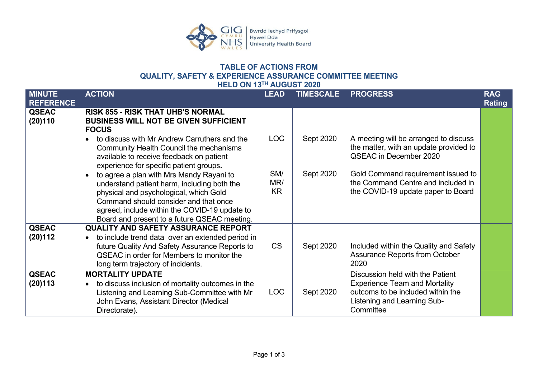

## **TABLE OF ACTIONS FROM QUALITY, SAFETY & EXPERIENCE ASSURANCE COMMITTEE MEETING HELD ON 13TH AUGUST 2020**

| AUUUUI LULU                       |                                                                                                                                                                                                                                                                                          |                         |                  |                                                                                                                                                           |                             |  |  |
|-----------------------------------|------------------------------------------------------------------------------------------------------------------------------------------------------------------------------------------------------------------------------------------------------------------------------------------|-------------------------|------------------|-----------------------------------------------------------------------------------------------------------------------------------------------------------|-----------------------------|--|--|
| <b>MINUTE</b><br><b>REFERENCE</b> | <b>ACTION</b>                                                                                                                                                                                                                                                                            | <b>LEAD</b>             | <b>TIMESCALE</b> | <b>PROGRESS</b>                                                                                                                                           | <b>RAG</b><br><b>Rating</b> |  |  |
| <b>QSEAC</b><br>(20)110           | <b>RISK 855 - RISK THAT UHB'S NORMAL</b><br><b>BUSINESS WILL NOT BE GIVEN SUFFICIENT</b><br><b>FOCUS</b>                                                                                                                                                                                 |                         |                  |                                                                                                                                                           |                             |  |  |
|                                   | to discuss with Mr Andrew Carruthers and the<br>Community Health Council the mechanisms<br>available to receive feedback on patient<br>experience for specific patient groups.                                                                                                           | <b>LOC</b>              | Sept 2020        | A meeting will be arranged to discuss<br>the matter, with an update provided to<br>QSEAC in December 2020                                                 |                             |  |  |
|                                   | to agree a plan with Mrs Mandy Rayani to<br>$\bullet$<br>understand patient harm, including both the<br>physical and psychological, which Gold<br>Command should consider and that once<br>agreed, include within the COVID-19 update to<br>Board and present to a future QSEAC meeting. | SM/<br>MR/<br><b>KR</b> | Sept 2020        | Gold Command requirement issued to<br>the Command Centre and included in<br>the COVID-19 update paper to Board                                            |                             |  |  |
| <b>QSEAC</b><br>(20)112           | <b>QUALITY AND SAFETY ASSURANCE REPORT</b><br>to include trend data over an extended period in<br>$\bullet$                                                                                                                                                                              |                         |                  |                                                                                                                                                           |                             |  |  |
|                                   | future Quality And Safety Assurance Reports to<br>QSEAC in order for Members to monitor the<br>long term trajectory of incidents.                                                                                                                                                        | <b>CS</b>               | Sept 2020        | Included within the Quality and Safety<br><b>Assurance Reports from October</b><br>2020                                                                   |                             |  |  |
| <b>QSEAC</b><br>(20)113           | <b>MORTALITY UPDATE</b><br>to discuss inclusion of mortality outcomes in the<br>$\bullet$<br>Listening and Learning Sub-Committee with Mr<br>John Evans, Assistant Director (Medical<br>Directorate).                                                                                    | <b>LOC</b>              | Sept 2020        | Discussion held with the Patient<br><b>Experience Team and Mortality</b><br>outcoms to be included within the<br>Listening and Learning Sub-<br>Committee |                             |  |  |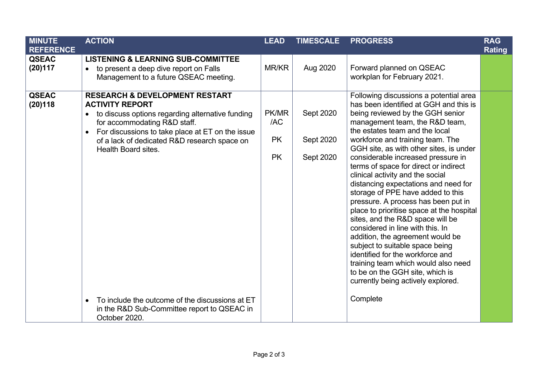| <b>MINUTE</b><br><b>REFERENCE</b> | <b>ACTION</b>                                                                                                                                                                                                                                                                                   | <b>LEAD</b>                            | <b>TIMESCALE</b>                    | <b>PROGRESS</b>                                                                                                                                                                                                                                                                                                                                                                                                                                                                                                                                                                                                                                                                                                                                                                                                                                                | <b>RAG</b><br><b>Rating</b> |
|-----------------------------------|-------------------------------------------------------------------------------------------------------------------------------------------------------------------------------------------------------------------------------------------------------------------------------------------------|----------------------------------------|-------------------------------------|----------------------------------------------------------------------------------------------------------------------------------------------------------------------------------------------------------------------------------------------------------------------------------------------------------------------------------------------------------------------------------------------------------------------------------------------------------------------------------------------------------------------------------------------------------------------------------------------------------------------------------------------------------------------------------------------------------------------------------------------------------------------------------------------------------------------------------------------------------------|-----------------------------|
| <b>QSEAC</b><br>(20)117           | <b>LISTENING &amp; LEARNING SUB-COMMITTEE</b><br>to present a deep dive report on Falls<br>$\bullet$<br>Management to a future QSEAC meeting.                                                                                                                                                   | MR/KR                                  | Aug 2020                            | Forward planned on QSEAC<br>workplan for February 2021.                                                                                                                                                                                                                                                                                                                                                                                                                                                                                                                                                                                                                                                                                                                                                                                                        |                             |
| <b>QSEAC</b><br>(20)118           | <b>RESEARCH &amp; DEVELOPMENT RESTART</b><br><b>ACTIVITY REPORT</b><br>to discuss options regarding alternative funding<br>$\bullet$<br>for accommodating R&D staff.<br>For discussions to take place at ET on the issue<br>of a lack of dedicated R&D research space on<br>Health Board sites. | PK/MR<br>/AC<br><b>PK</b><br><b>PK</b> | Sept 2020<br>Sept 2020<br>Sept 2020 | Following discussions a potential area<br>has been identified at GGH and this is<br>being reviewed by the GGH senior<br>management team, the R&D team,<br>the estates team and the local<br>workforce and training team. The<br>GGH site, as with other sites, is under<br>considerable increased pressure in<br>terms of space for direct or indirect<br>clinical activity and the social<br>distancing expectations and need for<br>storage of PPE have added to this<br>pressure. A process has been put in<br>place to prioritise space at the hospital<br>sites, and the R&D space will be<br>considered in line with this. In<br>addition, the agreement would be<br>subject to suitable space being<br>identified for the workforce and<br>training team which would also need<br>to be on the GGH site, which is<br>currently being actively explored. |                             |
|                                   | To include the outcome of the discussions at ET<br>$\bullet$<br>in the R&D Sub-Committee report to QSEAC in<br>October 2020.                                                                                                                                                                    |                                        |                                     | Complete                                                                                                                                                                                                                                                                                                                                                                                                                                                                                                                                                                                                                                                                                                                                                                                                                                                       |                             |